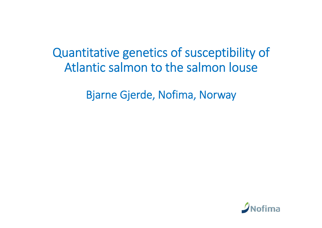Quantitative genetics of susceptibility of Atlantic salmon to the salmon louse

Bjarne Gjerde, Nofima, Norway

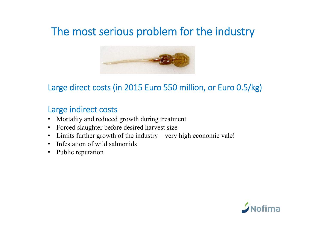# The most serious problem for the industry



#### Large direct costs (in 2015 Euro 550 million, or Euro 0.5/kg)

#### Large indirect costs

- $\bullet$ Mortality and reduced growth during treatment
- $\bullet$ Forced slaughter before desired harvest size
- Limits further growth of the industry very high economic vale!
- •Infestation of wild salmonids
- $\bullet$ Public reputation

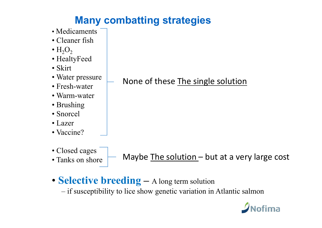# **Many combatting strategies**

- Medicaments
- Cleaner fish
- $\bm{\cdot}$   $\text{H}_{2}\text{O}_{2}$
- HealtyFeed
- Skirt
- Water pressure
- Fresh-water
- Warm-water
- Brushing
- Snorcel
- Lazer
- Vaccine?
- Closed cages
- Tanks on shore

Maybe The solution - but at a very large cost

• **Selective breeding –** A long term solution

if susceptibility to lice show genetic variation in Atlantic salmon



### None of these The single solution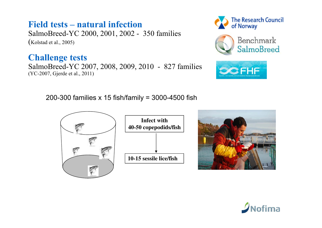#### **Field tests – natural infection**

SalmoBreed-YC 2000, 2001, 2002 - 350 families (Kolstad et al., 2005)

#### **Challenge tests**

SalmoBreed-YC 2007, 2008, 2009, 2010 - 827 families (YC-2007, Gjerde et al., 2011)







200-300 families x 15 fish/family = 3000-4500 fish





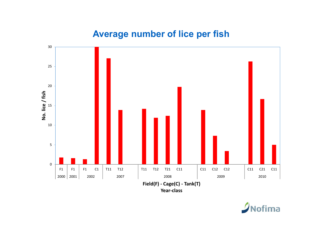#### **Average number of lice per fish**



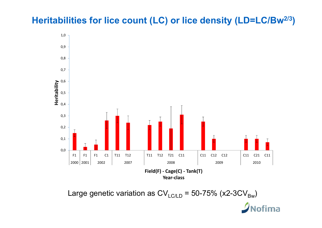### **Heritabilities for lice count (LC) or lice density (LD=LC/Bw2/3 )**



Large genetic variation as CV $_{\rm LCLD}$  = 50-75% (x2-3CV $_{\rm Bw}$ )

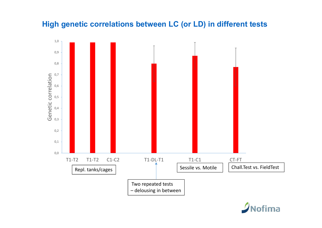#### **High genetic correlations between LC (or LD) in different tests**



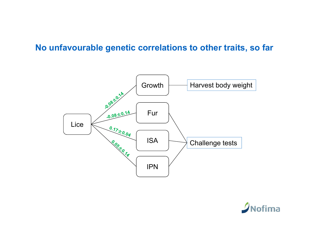#### **No unfavourable genetic correlations to other traits, so far**



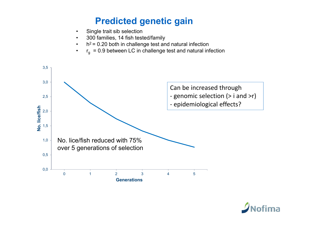### **Predicted genetic gain**

- •Single trait sib selection
- •300 families, 14 fish tested/family
- • $h^2$  = 0.20 both in challenge test and natural infection
- • $r_{\text{g}}$  = 0.9 between LC in challenge test and natural infection



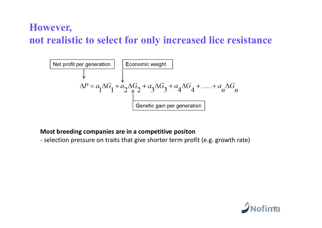### **However, not realistic to select for only increased lice resistance**



#### **Most breeding companies are in a competitive positon**

‐ selection pressure on traits that give shorter term profit (e.g. growth rate)

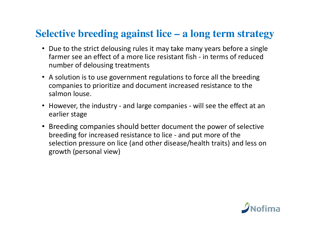### **Selective breeding against lice – a long term strategy**

- Due to the strict delousing rules it may take many years before a single farmer see an effect of a more lice resistant fish ‐ in terms of reduced number of delousing treatments
- A solution is to use government regulations to force all the breeding companies to prioritize and document increased resistance to the salmon louse.
- However, the industry and large companies will see the effect at an earlier stage
- Breeding companies should better document the power of selective breeding for increased resistance to lice ‐ and put more of the selection pressure on lice (and other disease/health traits) and less on growth (personal view)

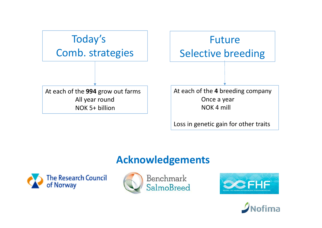

Loss in genetic gain for other traits

## **Acknowledgements**







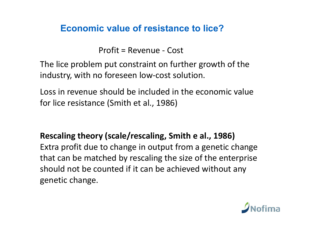#### **Economic value of resistance to lice?**

Profit = Revenue ‐ Cost

The lice problem put constraint on further growth of the industry, with no foreseen low‐cost solution.

Loss in revenue should be included in the economic value for lice resistance (Smith et al., 1986)

**Rescaling theory (scale/rescaling, Smith e al., 1986)** Extra profit due to change in output from a genetic change that can be matched by rescaling the size of the enterprise should not be counted if it can be achieved without any genetic change.

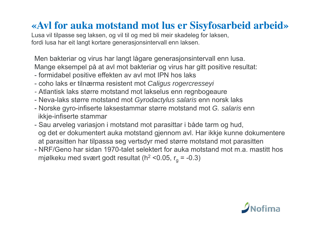# **«Avl for auka motstand mot lus er Sisyfosarbeid arbeid»**

Lusa vil tilpasse seg laksen, og vil til og med bli meir skadeleg for laksen, fordi lusa har eit langt kortare generasjonsintervall enn laksen.

Men bakteriar og virus har langt lågare generasjonsintervall enn lusa.

Mange eksempel på at avl mot bakteriar og virus har gitt positive resultat:

- formidabel positive effekten av avl mot IPN hos laks
- coho laks er tilnærma resistent mot *Caligus rogercresseyi*
- *-* Atlantisk laks større motstand mot lakselus enn regnbogeaure
- Neva-laks større motstand mot *Gyrodactylus salaris* enn norsk laks
- Norske gyro-infiserte laksestammar større motstand mot *G. salaris* enn ikkje-infiserte stammar
- Sau arveleg variasjon i motstand mot parasittar i både tarm og hud, og det er dokumentert auka motstand gjennom avl. Har ikkje kunne dokumentere at parasitten har tilpassa seg vertsdyr med større motstand mot parasitten
- NRF/Geno har sidan 1970-talet selektert for auka motstand mot m.a. mastitt hos mjølkeku med svært godt resultat ( $h^2$  <0.05,  $r_a$  = -0.3)